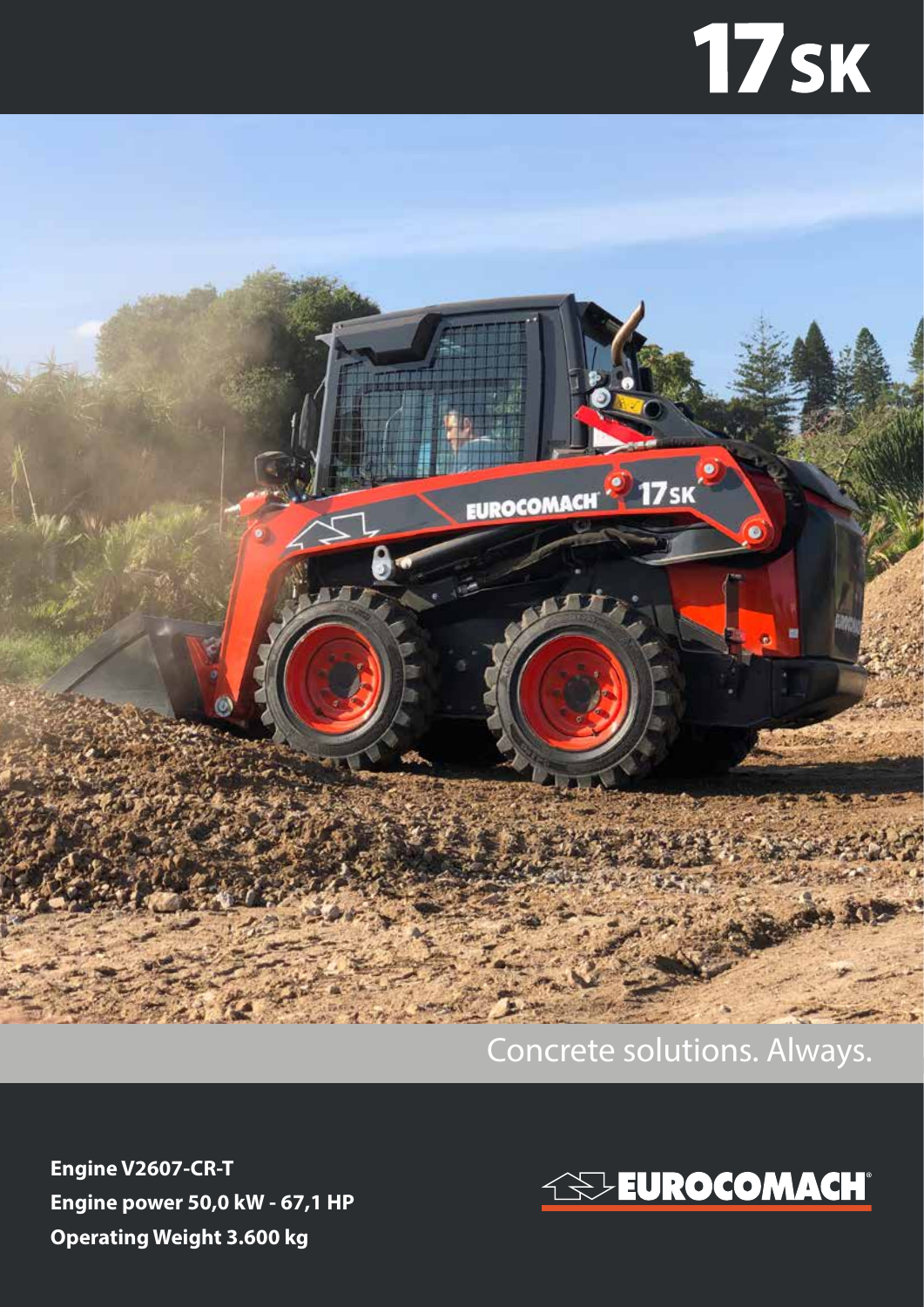## **17sk**



## Concrete solutions. Always.

**Engine V2607-CR-T Engine power 50,0 kW - 67,1 HP Operating Weight 3.600 kg**